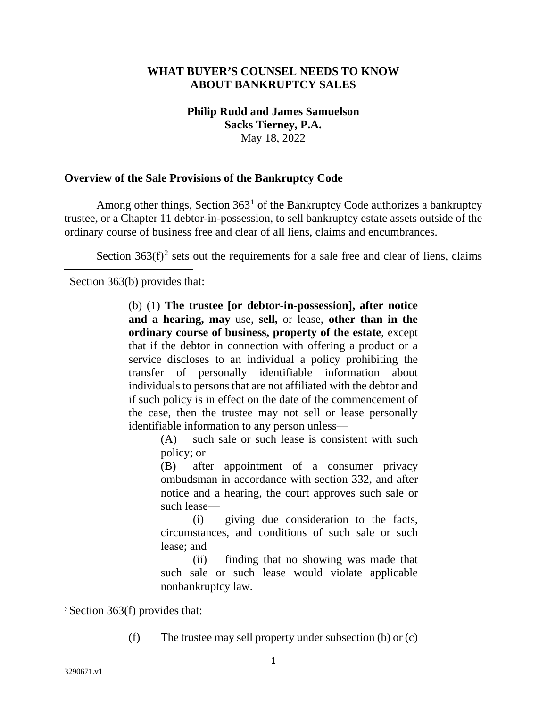#### **WHAT BUYER'S COUNSEL NEEDS TO KNOW ABOUT BANKRUPTCY SALES**

# **Philip Rudd and James Samuelson Sacks Tierney, P.A.** May 18, 2022

#### **Overview of the Sale Provisions of the Bankruptcy Code**

Among other things, Section  $363<sup>1</sup>$  $363<sup>1</sup>$  $363<sup>1</sup>$  of the Bankruptcy Code authorizes a bankruptcy trustee, or a Chapter 11 debtor-in-possession, to sell bankruptcy estate assets outside of the ordinary course of business free and clear of all liens, claims and encumbrances.

Section  $363(f)^2$  $363(f)^2$  sets out the requirements for a sale free and clear of liens, claims

<span id="page-0-0"></span><sup>1</sup> Section 363(b) provides that:

(b) (1) **The trustee [or debtor-in-possession], after notice and a hearing, may** use, **sell,** or lease, **other than in the ordinary course of business, property of the estate**, except that if the debtor in connection with offering a product or a service discloses to an individual a policy prohibiting the transfer of personally identifiable information about individuals to persons that are not affiliated with the debtor and if such policy is in effect on the date of the commencement of the case, then the trustee may not sell or lease personally identifiable information to any person unless—

(A) such sale or such lease is consistent with such policy; or

(B) after appointment of a consumer privacy ombudsman in accordance with section 332, and after notice and a hearing, the court approves such sale or such lease—

(i) giving due consideration to the facts, circumstances, and conditions of such sale or such lease; and

(ii) finding that no showing was made that such sale or such lease would violate applicable nonbankruptcy law.

<span id="page-0-1"></span><sup>2</sup> Section 363(f) provides that:

(f) The trustee may sell property under subsection (b) or (c)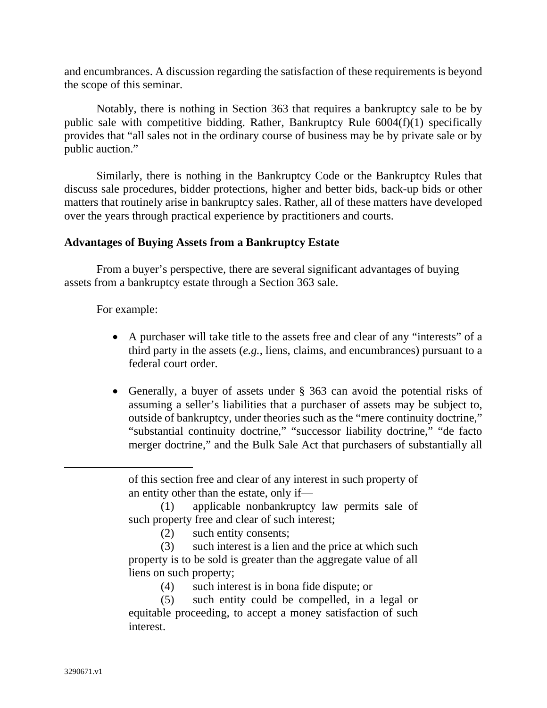and encumbrances. A discussion regarding the satisfaction of these requirements is beyond the scope of this seminar.

Notably, there is nothing in Section 363 that requires a bankruptcy sale to be by public sale with competitive bidding. Rather, Bankruptcy Rule 6004(f)(1) specifically provides that "all sales not in the ordinary course of business may be by private sale or by public auction."

Similarly, there is nothing in the Bankruptcy Code or the Bankruptcy Rules that discuss sale procedures, bidder protections, higher and better bids, back-up bids or other matters that routinely arise in bankruptcy sales. Rather, all of these matters have developed over the years through practical experience by practitioners and courts.

# **Advantages of Buying Assets from a Bankruptcy Estate**

From a buyer's perspective, there are several significant advantages of buying assets from a bankruptcy estate through a Section 363 sale.

For example:

- A purchaser will take title to the assets free and clear of any "interests" of a third party in the assets (*e.g.*, liens, claims, and encumbrances) pursuant to a federal court order.
- Generally, a buyer of assets under § 363 can avoid the potential risks of assuming a seller's liabilities that a purchaser of assets may be subject to, outside of bankruptcy, under theories such as the "mere continuity doctrine," "substantial continuity doctrine," "successor liability doctrine," "de facto merger doctrine," and the Bulk Sale Act that purchasers of substantially all

of this section free and clear of any interest in such property of an entity other than the estate, only if—

(1) applicable nonbankruptcy law permits sale of such property free and clear of such interest;

(2) such entity consents;

(3) such interest is a lien and the price at which such property is to be sold is greater than the aggregate value of all liens on such property;

(4) such interest is in bona fide dispute; or

(5) such entity could be compelled, in a legal or equitable proceeding, to accept a money satisfaction of such interest.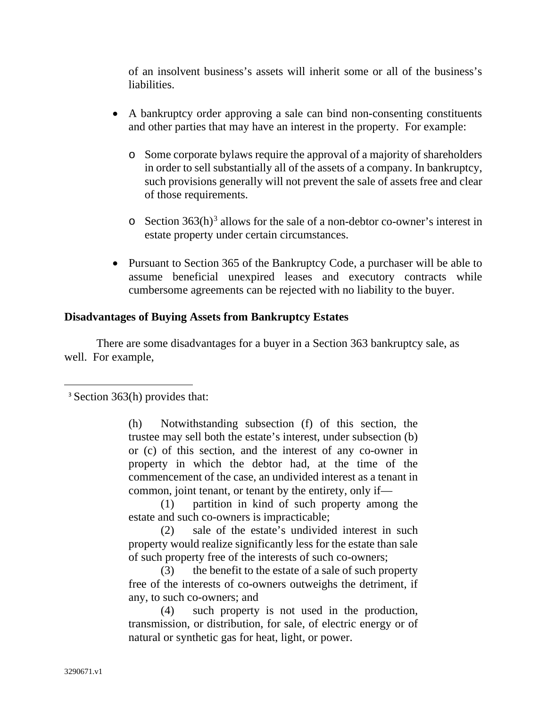of an insolvent business's assets will inherit some or all of the business's liabilities.

- A bankruptcy order approving a sale can bind non-consenting constituents and other parties that may have an interest in the property. For example:
	- o Some corporate bylaws require the approval of a majority of shareholders in order to sell substantially all of the assets of a company. In bankruptcy, such provisions generally will not prevent the sale of assets free and clear of those requirements.
	- $\circ$  Section [3](#page-2-0)63(h)<sup>3</sup> allows for the sale of a non-debtor co-owner's interest in estate property under certain circumstances.
- Pursuant to Section 365 of the Bankruptcy Code, a purchaser will be able to assume beneficial unexpired leases and executory contracts while cumbersome agreements can be rejected with no liability to the buyer.

## **Disadvantages of Buying Assets from Bankruptcy Estates**

There are some disadvantages for a buyer in a Section 363 bankruptcy sale, as well. For example,

(h) Notwithstanding subsection (f) of this section, the trustee may sell both the estate's interest, under subsection (b) or (c) of this section, and the interest of any co-owner in property in which the debtor had, at the time of the commencement of the case, an undivided interest as a tenant in common, joint tenant, or tenant by the entirety, only if—

(1) partition in kind of such property among the estate and such co-owners is impracticable;

(2) sale of the estate's undivided interest in such property would realize significantly less for the estate than sale of such property free of the interests of such co-owners;

(3) the benefit to the estate of a sale of such property free of the interests of co-owners outweighs the detriment, if any, to such co-owners; and

(4) such property is not used in the production, transmission, or distribution, for sale, of electric energy or of natural or synthetic gas for heat, light, or power.

<span id="page-2-0"></span><sup>3</sup> Section 363(h) provides that: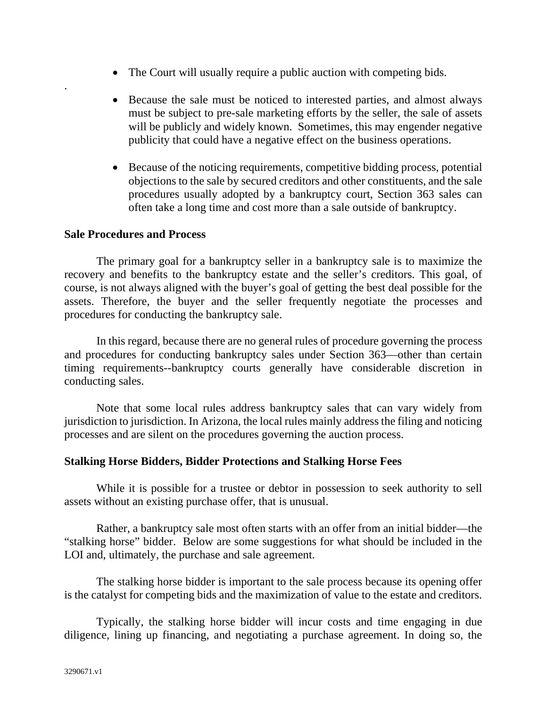- The Court will usually require a public auction with competing bids.
- Because the sale must be noticed to interested parties, and almost always must be subject to pre-sale marketing efforts by the seller, the sale of assets will be publicly and widely known. Sometimes, this may engender negative publicity that could have a negative effect on the business operations.
- Because of the noticing requirements, competitive bidding process, potential objections to the sale by secured creditors and other constituents, and the sale procedures usually adopted by a bankruptcy court, Section 363 sales can often take a long time and cost more than a sale outside of bankruptcy.

#### **Sale Procedures and Process**

.

The primary goal for a bankruptcy seller in a bankruptcy sale is to maximize the recovery and benefits to the bankruptcy estate and the seller's creditors. This goal, of course, is not always aligned with the buyer's goal of getting the best deal possible for the assets. Therefore, the buyer and the seller frequently negotiate the processes and procedures for conducting the bankruptcy sale.

In this regard, because there are no general rules of procedure governing the process and procedures for conducting bankruptcy sales under Section 363—other than certain timing requirements--bankruptcy courts generally have considerable discretion in conducting sales.

Note that some local rules address bankruptcy sales that can vary widely from jurisdiction to jurisdiction. In Arizona, the local rules mainly address the filing and noticing processes and are silent on the procedures governing the auction process.

## **Stalking Horse Bidders, Bidder Protections and Stalking Horse Fees**

While it is possible for a trustee or debtor in possession to seek authority to sell assets without an existing purchase offer, that is unusual.

Rather, a bankruptcy sale most often starts with an offer from an initial bidder—the "stalking horse" bidder. Below are some suggestions for what should be included in the LOI and, ultimately, the purchase and sale agreement.

The stalking horse bidder is important to the sale process because its opening offer is the catalyst for competing bids and the maximization of value to the estate and creditors.

Typically, the stalking horse bidder will incur costs and time engaging in due diligence, lining up financing, and negotiating a purchase agreement. In doing so, the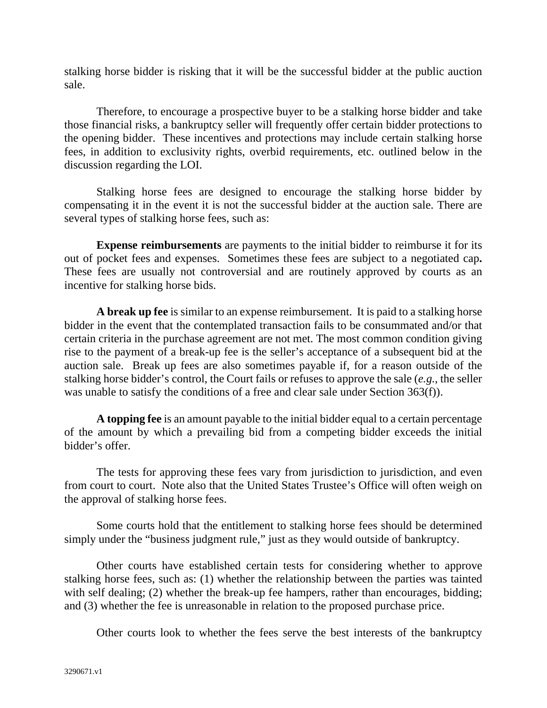stalking horse bidder is risking that it will be the successful bidder at the public auction sale.

Therefore, to encourage a prospective buyer to be a stalking horse bidder and take those financial risks, a bankruptcy seller will frequently offer certain bidder protections to the opening bidder. These incentives and protections may include certain stalking horse fees, in addition to exclusivity rights, overbid requirements, etc. outlined below in the discussion regarding the LOI.

Stalking horse fees are designed to encourage the stalking horse bidder by compensating it in the event it is not the successful bidder at the auction sale. There are several types of stalking horse fees, such as:

**Expense reimbursements** are payments to the initial bidder to reimburse it for its out of pocket fees and expenses. Sometimes these fees are subject to a negotiated cap**.** These fees are usually not controversial and are routinely approved by courts as an incentive for stalking horse bids.

**A break up fee** is similar to an expense reimbursement. It is paid to a stalking horse bidder in the event that the contemplated transaction fails to be consummated and/or that certain criteria in the purchase agreement are not met. The most common condition giving rise to the payment of a break-up fee is the seller's acceptance of a subsequent bid at the auction sale. Break up fees are also sometimes payable if, for a reason outside of the stalking horse bidder's control, the Court fails or refuses to approve the sale (*e.g.*, the seller was unable to satisfy the conditions of a free and clear sale under Section 363(f)).

**A topping fee** is an amount payable to the initial bidder equal to a certain percentage of the amount by which a prevailing bid from a competing bidder exceeds the initial bidder's offer.

The tests for approving these fees vary from jurisdiction to jurisdiction, and even from court to court. Note also that the United States Trustee's Office will often weigh on the approval of stalking horse fees.

Some courts hold that the entitlement to stalking horse fees should be determined simply under the "business judgment rule," just as they would outside of bankruptcy.

Other courts have established certain tests for considering whether to approve stalking horse fees, such as: (1) whether the relationship between the parties was tainted with self dealing; (2) whether the break-up fee hampers, rather than encourages, bidding; and (3) whether the fee is unreasonable in relation to the proposed purchase price.

Other courts look to whether the fees serve the best interests of the bankruptcy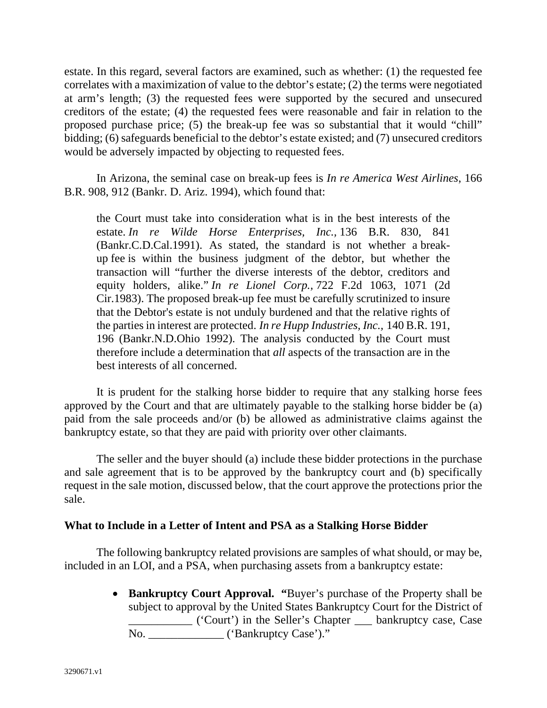estate. In this regard, several factors are examined, such as whether: (1) the requested fee correlates with a maximization of value to the debtor's estate; (2) the terms were negotiated at arm's length; (3) the requested fees were supported by the secured and unsecured creditors of the estate; (4) the requested fees were reasonable and fair in relation to the proposed purchase price; (5) the break-up fee was so substantial that it would "chill" bidding; (6) safeguards beneficial to the debtor's estate existed; and (7) unsecured creditors would be adversely impacted by objecting to requested fees.

In Arizona, the seminal case on break-up fees is *In re America West Airlines*, 166 B.R. 908, 912 (Bankr. D. Ariz. 1994), which found that:

the Court must take into consideration what is in the best interests of the estate. *In re Wilde Horse Enterprises, Inc.,* 136 B.R. 830, 841 (Bankr.C.D.Cal.1991). As stated, the standard is not whether a breakup fee is within the business judgment of the debtor, but whether the transaction will "further the diverse interests of the debtor, creditors and equity holders, alike." *In re Lionel Corp.,* 722 F.2d 1063, 1071 (2d Cir.1983). The proposed break-up fee must be carefully scrutinized to insure that the Debtor's estate is not unduly burdened and that the relative rights of the parties in interest are protected. *In re Hupp Industries, Inc.,* 140 B.R. 191, 196 (Bankr.N.D.Ohio 1992). The analysis conducted by the Court must therefore include a determination that *all* aspects of the transaction are in the best interests of all concerned.

It is prudent for the stalking horse bidder to require that any stalking horse fees approved by the Court and that are ultimately payable to the stalking horse bidder be (a) paid from the sale proceeds and/or (b) be allowed as administrative claims against the bankruptcy estate, so that they are paid with priority over other claimants.

The seller and the buyer should (a) include these bidder protections in the purchase and sale agreement that is to be approved by the bankruptcy court and (b) specifically request in the sale motion, discussed below, that the court approve the protections prior the sale.

## **What to Include in a Letter of Intent and PSA as a Stalking Horse Bidder**

The following bankruptcy related provisions are samples of what should, or may be, included in an LOI, and a PSA, when purchasing assets from a bankruptcy estate:

> • **Bankruptcy Court Approval. "**Buyer's purchase of the Property shall be subject to approval by the United States Bankruptcy Court for the District of \_\_\_\_\_\_\_\_\_\_\_ ('Court') in the Seller's Chapter \_\_\_ bankruptcy case, Case No. \_\_\_\_\_\_\_\_\_\_\_\_\_ ('Bankruptcy Case')."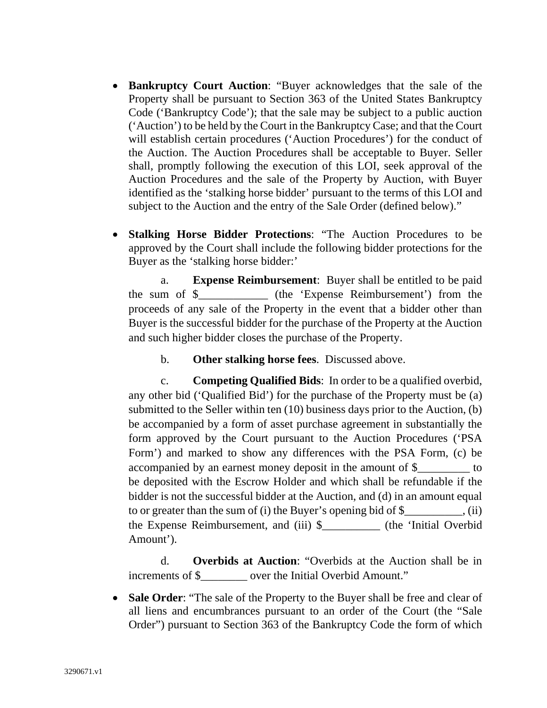- **Bankruptcy Court Auction**: "Buyer acknowledges that the sale of the Property shall be pursuant to Section 363 of the United States Bankruptcy Code ('Bankruptcy Code'); that the sale may be subject to a public auction ('Auction') to be held by the Court in the Bankruptcy Case; and that the Court will establish certain procedures ('Auction Procedures') for the conduct of the Auction. The Auction Procedures shall be acceptable to Buyer. Seller shall, promptly following the execution of this LOI, seek approval of the Auction Procedures and the sale of the Property by Auction, with Buyer identified as the 'stalking horse bidder' pursuant to the terms of this LOI and subject to the Auction and the entry of the Sale Order (defined below)."
- **Stalking Horse Bidder Protections**: "The Auction Procedures to be approved by the Court shall include the following bidder protections for the Buyer as the 'stalking horse bidder:'

a. **Expense Reimbursement**: Buyer shall be entitled to be paid the sum of \$\_\_\_\_\_\_\_\_\_\_\_\_ (the 'Expense Reimbursement') from the proceeds of any sale of the Property in the event that a bidder other than Buyer is the successful bidder for the purchase of the Property at the Auction and such higher bidder closes the purchase of the Property.

b. **Other stalking horse fees**. Discussed above.

c. **Competing Qualified Bids**: In order to be a qualified overbid, any other bid ('Qualified Bid') for the purchase of the Property must be (a) submitted to the Seller within ten (10) business days prior to the Auction, (b) be accompanied by a form of asset purchase agreement in substantially the form approved by the Court pursuant to the Auction Procedures ('PSA Form') and marked to show any differences with the PSA Form, (c) be accompanied by an earnest money deposit in the amount of \$\_\_\_\_\_\_\_\_\_ to be deposited with the Escrow Holder and which shall be refundable if the bidder is not the successful bidder at the Auction, and (d) in an amount equal to or greater than the sum of (i) the Buyer's opening bid of \$\_\_\_\_\_\_\_\_\_\_, (ii) the Expense Reimbursement, and (iii) \$\_\_\_\_\_\_\_\_\_\_ (the 'Initial Overbid Amount').

d. **Overbids at Auction**: "Overbids at the Auction shall be in increments of \$ were the Initial Overbid Amount."

• **Sale Order**: "The sale of the Property to the Buyer shall be free and clear of all liens and encumbrances pursuant to an order of the Court (the "Sale Order") pursuant to Section 363 of the Bankruptcy Code the form of which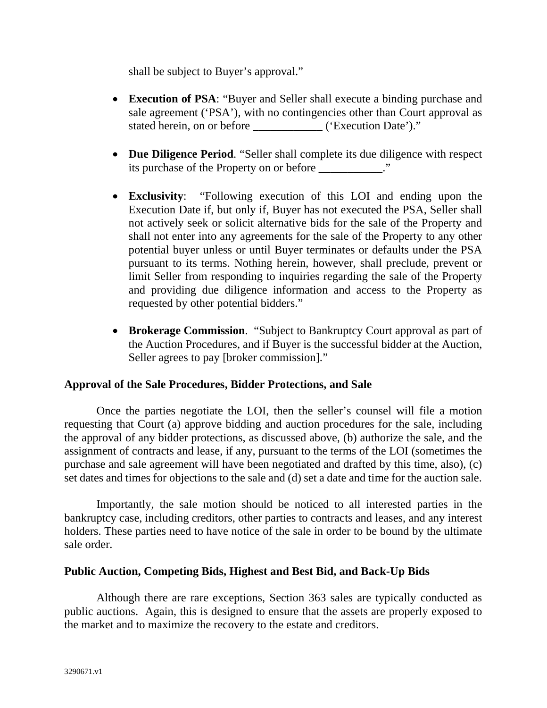shall be subject to Buyer's approval."

- **Execution of PSA**: "Buyer and Seller shall execute a binding purchase and sale agreement ('PSA'), with no contingencies other than Court approval as stated herein, on or before ('Execution Date')."
- **Due Diligence Period**. "Seller shall complete its due diligence with respect its purchase of the Property on or before  $\cdot$ ."
- **Exclusivity**: "Following execution of this LOI and ending upon the Execution Date if, but only if, Buyer has not executed the PSA, Seller shall not actively seek or solicit alternative bids for the sale of the Property and shall not enter into any agreements for the sale of the Property to any other potential buyer unless or until Buyer terminates or defaults under the PSA pursuant to its terms. Nothing herein, however, shall preclude, prevent or limit Seller from responding to inquiries regarding the sale of the Property and providing due diligence information and access to the Property as requested by other potential bidders."
- **Brokerage Commission**. "Subject to Bankruptcy Court approval as part of the Auction Procedures, and if Buyer is the successful bidder at the Auction, Seller agrees to pay [broker commission]."

## **Approval of the Sale Procedures, Bidder Protections, and Sale**

Once the parties negotiate the LOI, then the seller's counsel will file a motion requesting that Court (a) approve bidding and auction procedures for the sale, including the approval of any bidder protections, as discussed above, (b) authorize the sale, and the assignment of contracts and lease, if any, pursuant to the terms of the LOI (sometimes the purchase and sale agreement will have been negotiated and drafted by this time, also), (c) set dates and times for objections to the sale and (d) set a date and time for the auction sale.

Importantly, the sale motion should be noticed to all interested parties in the bankruptcy case, including creditors, other parties to contracts and leases, and any interest holders. These parties need to have notice of the sale in order to be bound by the ultimate sale order.

## **Public Auction, Competing Bids, Highest and Best Bid, and Back-Up Bids**

Although there are rare exceptions, Section 363 sales are typically conducted as public auctions. Again, this is designed to ensure that the assets are properly exposed to the market and to maximize the recovery to the estate and creditors.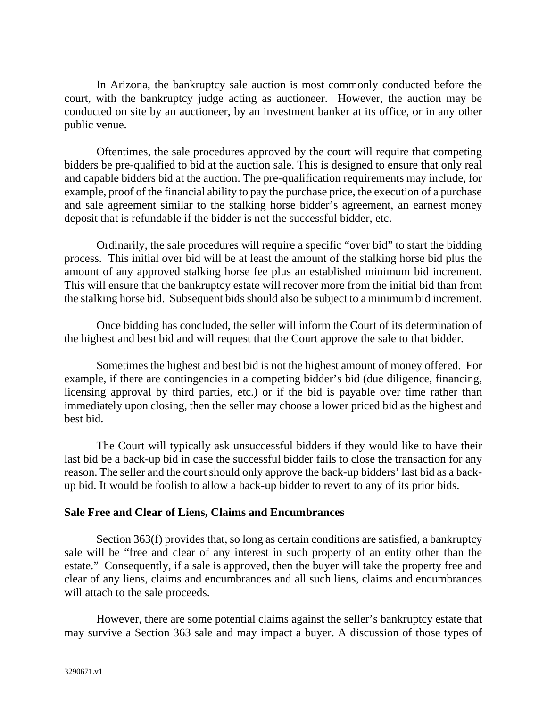In Arizona, the bankruptcy sale auction is most commonly conducted before the court, with the bankruptcy judge acting as auctioneer. However, the auction may be conducted on site by an auctioneer, by an investment banker at its office, or in any other public venue.

Oftentimes, the sale procedures approved by the court will require that competing bidders be pre-qualified to bid at the auction sale. This is designed to ensure that only real and capable bidders bid at the auction. The pre-qualification requirements may include, for example, proof of the financial ability to pay the purchase price, the execution of a purchase and sale agreement similar to the stalking horse bidder's agreement, an earnest money deposit that is refundable if the bidder is not the successful bidder, etc.

Ordinarily, the sale procedures will require a specific "over bid" to start the bidding process. This initial over bid will be at least the amount of the stalking horse bid plus the amount of any approved stalking horse fee plus an established minimum bid increment. This will ensure that the bankruptcy estate will recover more from the initial bid than from the stalking horse bid. Subsequent bids should also be subject to a minimum bid increment.

Once bidding has concluded, the seller will inform the Court of its determination of the highest and best bid and will request that the Court approve the sale to that bidder.

Sometimes the highest and best bid is not the highest amount of money offered. For example, if there are contingencies in a competing bidder's bid (due diligence, financing, licensing approval by third parties, etc.) or if the bid is payable over time rather than immediately upon closing, then the seller may choose a lower priced bid as the highest and best bid.

The Court will typically ask unsuccessful bidders if they would like to have their last bid be a back-up bid in case the successful bidder fails to close the transaction for any reason. The seller and the court should only approve the back-up bidders' last bid as a backup bid. It would be foolish to allow a back-up bidder to revert to any of its prior bids.

## **Sale Free and Clear of Liens, Claims and Encumbrances**

Section 363(f) provides that, so long as certain conditions are satisfied, a bankruptcy sale will be "free and clear of any interest in such property of an entity other than the estate." Consequently, if a sale is approved, then the buyer will take the property free and clear of any liens, claims and encumbrances and all such liens, claims and encumbrances will attach to the sale proceeds.

However, there are some potential claims against the seller's bankruptcy estate that may survive a Section 363 sale and may impact a buyer. A discussion of those types of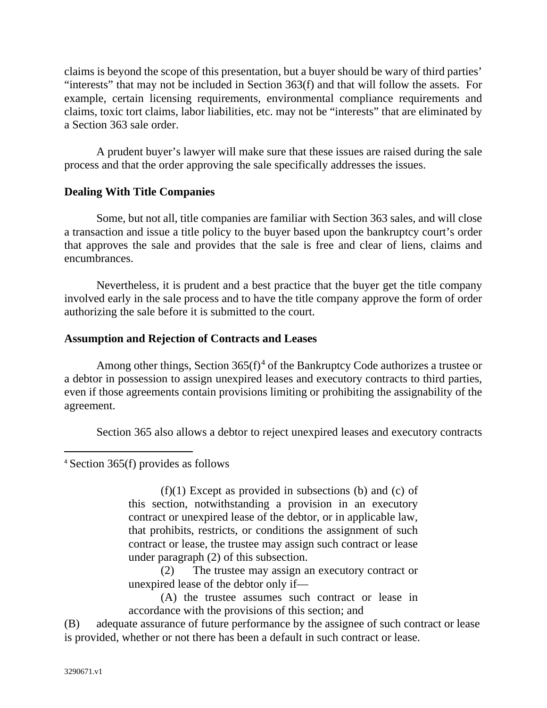claims is beyond the scope of this presentation, but a buyer should be wary of third parties' "interests" that may not be included in Section 363(f) and that will follow the assets. For example, certain licensing requirements, environmental compliance requirements and claims, toxic tort claims, labor liabilities, etc. may not be "interests" that are eliminated by a Section 363 sale order.

A prudent buyer's lawyer will make sure that these issues are raised during the sale process and that the order approving the sale specifically addresses the issues.

# **Dealing With Title Companies**

Some, but not all, title companies are familiar with Section 363 sales, and will close a transaction and issue a title policy to the buyer based upon the bankruptcy court's order that approves the sale and provides that the sale is free and clear of liens, claims and encumbrances.

Nevertheless, it is prudent and a best practice that the buyer get the title company involved early in the sale process and to have the title company approve the form of order authorizing the sale before it is submitted to the court.

# **Assumption and Rejection of Contracts and Leases**

Among other things, Section  $365(f)^4$  $365(f)^4$  of the Bankruptcy Code authorizes a trustee or a debtor in possession to assign unexpired leases and executory contracts to third parties, even if those agreements contain provisions limiting or prohibiting the assignability of the agreement.

Section 365 also allows a debtor to reject unexpired leases and executory contracts

<span id="page-9-0"></span><sup>4</sup> Section 365(f) provides as follows

 $(f)(1)$  Except as provided in subsections (b) and (c) of this section, notwithstanding a provision in an executory contract or unexpired lease of the debtor, or in applicable law, that prohibits, restricts, or conditions the assignment of such contract or lease, the trustee may assign such contract or lease under paragraph (2) of this subsection.

(2) The trustee may assign an executory contract or unexpired lease of the debtor only if—

(A) the trustee assumes such contract or lease in accordance with the provisions of this section; and

(B) adequate assurance of future performance by the assignee of such contract or lease is provided, whether or not there has been a default in such contract or lease.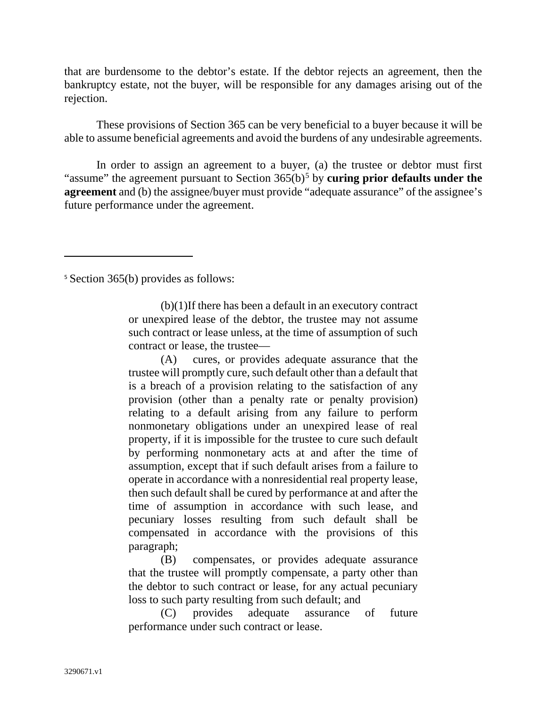that are burdensome to the debtor's estate. If the debtor rejects an agreement, then the bankruptcy estate, not the buyer, will be responsible for any damages arising out of the rejection.

These provisions of Section 365 can be very beneficial to a buyer because it will be able to assume beneficial agreements and avoid the burdens of any undesirable agreements.

In order to assign an agreement to a buyer, (a) the trustee or debtor must first "assume" the agreement pursuant to Section 36[5](#page-10-0)(b)<sup>5</sup> by **curing prior defaults under the agreement** and (b) the assignee/buyer must provide "adequate assurance" of the assignee's future performance under the agreement.

<span id="page-10-0"></span><sup>5</sup> Section 365(b) provides as follows:

 $(b)(1)$ If there has been a default in an executory contract or unexpired lease of the debtor, the trustee may not assume such contract or lease unless, at the time of assumption of such contract or lease, the trustee—

(A) cures, or provides adequate assurance that the trustee will promptly cure, such default other than a default that is a breach of a provision relating to the satisfaction of any provision (other than a penalty rate or penalty provision) relating to a default arising from any failure to perform nonmonetary obligations under an unexpired lease of real property, if it is impossible for the trustee to cure such default by performing nonmonetary acts at and after the time of assumption, except that if such default arises from a failure to operate in accordance with a nonresidential real property lease, then such default shall be cured by performance at and after the time of assumption in accordance with such lease, and pecuniary losses resulting from such default shall be compensated in accordance with the provisions of this paragraph;

(B) compensates, or provides adequate assurance that the trustee will promptly compensate, a party other than the debtor to such contract or lease, for any actual pecuniary loss to such party resulting from such default; and

(C) provides adequate assurance of future performance under such contract or lease.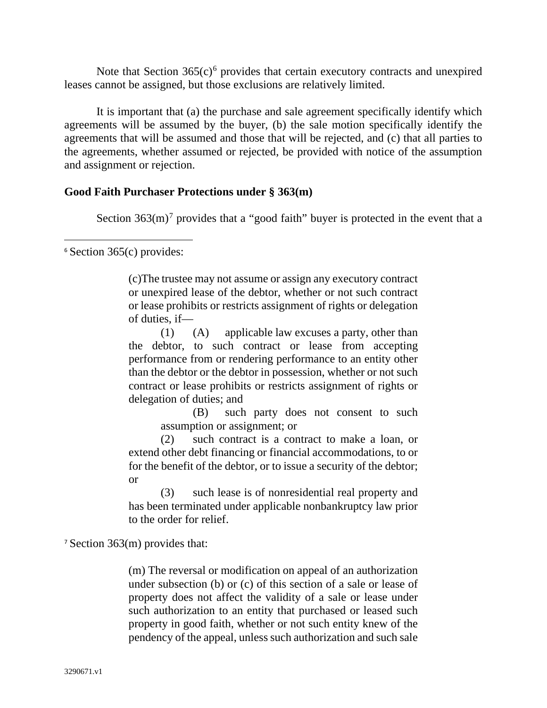Note that Section  $365(c)^6$  $365(c)^6$  $365(c)^6$  provides that certain executory contracts and unexpired leases cannot be assigned, but those exclusions are relatively limited.

It is important that (a) the purchase and sale agreement specifically identify which agreements will be assumed by the buyer, (b) the sale motion specifically identify the agreements that will be assumed and those that will be rejected, and (c) that all parties to the agreements, whether assumed or rejected, be provided with notice of the assumption and assignment or rejection.

## **Good Faith Purchaser Protections under § 363(m)**

Section  $363(m)^7$  $363(m)^7$  provides that a "good faith" buyer is protected in the event that a

<span id="page-11-0"></span> $6$  Section 365(c) provides:

(c)The trustee may not assume or assign any executory contract or unexpired lease of the debtor, whether or not such contract or lease prohibits or restricts assignment of rights or delegation of duties, if—

(1) (A) applicable law excuses a party, other than the debtor, to such contract or lease from accepting performance from or rendering performance to an entity other than the debtor or the debtor in possession, whether or not such contract or lease prohibits or restricts assignment of rights or delegation of duties; and

(B) such party does not consent to such assumption or assignment; or

(2) such contract is a contract to make a loan, or extend other debt financing or financial accommodations, to or for the benefit of the debtor, or to issue a security of the debtor; or

(3) such lease is of nonresidential real property and has been terminated under applicable nonbankruptcy law prior to the order for relief.

<span id="page-11-1"></span><sup>7</sup> Section 363(m) provides that:

(m) The reversal or modification on appeal of an authorization under subsection (b) or (c) of this section of a sale or lease of property does not affect the validity of a sale or lease under such authorization to an entity that purchased or leased such property in good faith, whether or not such entity knew of the pendency of the appeal, unless such authorization and such sale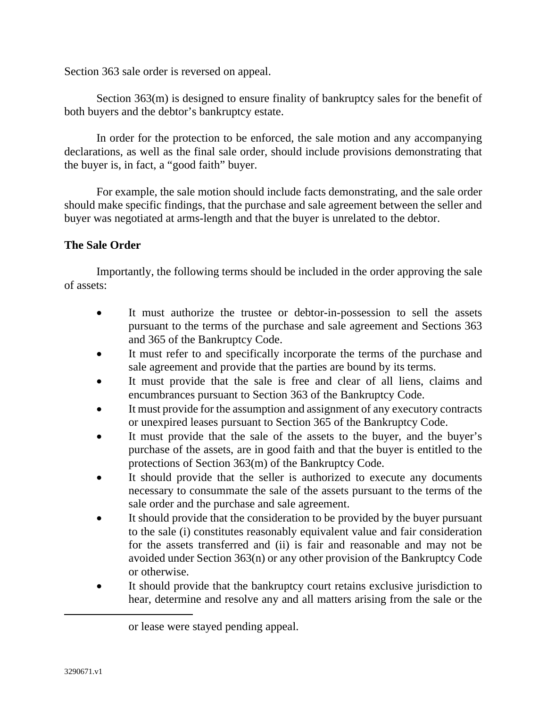Section 363 sale order is reversed on appeal.

Section 363(m) is designed to ensure finality of bankruptcy sales for the benefit of both buyers and the debtor's bankruptcy estate.

In order for the protection to be enforced, the sale motion and any accompanying declarations, as well as the final sale order, should include provisions demonstrating that the buyer is, in fact, a "good faith" buyer.

For example, the sale motion should include facts demonstrating, and the sale order should make specific findings, that the purchase and sale agreement between the seller and buyer was negotiated at arms-length and that the buyer is unrelated to the debtor.

# **The Sale Order**

Importantly, the following terms should be included in the order approving the sale of assets:

- It must authorize the trustee or debtor-in-possession to sell the assets pursuant to the terms of the purchase and sale agreement and Sections 363 and 365 of the Bankruptcy Code.
- It must refer to and specifically incorporate the terms of the purchase and sale agreement and provide that the parties are bound by its terms.
- It must provide that the sale is free and clear of all liens, claims and encumbrances pursuant to Section 363 of the Bankruptcy Code.
- It must provide for the assumption and assignment of any executory contracts or unexpired leases pursuant to Section 365 of the Bankruptcy Code.
- It must provide that the sale of the assets to the buyer, and the buyer's purchase of the assets, are in good faith and that the buyer is entitled to the protections of Section 363(m) of the Bankruptcy Code.
- It should provide that the seller is authorized to execute any documents necessary to consummate the sale of the assets pursuant to the terms of the sale order and the purchase and sale agreement.
- It should provide that the consideration to be provided by the buyer pursuant to the sale (i) constitutes reasonably equivalent value and fair consideration for the assets transferred and (ii) is fair and reasonable and may not be avoided under Section 363(n) or any other provision of the Bankruptcy Code or otherwise.
- It should provide that the bankruptcy court retains exclusive jurisdiction to hear, determine and resolve any and all matters arising from the sale or the

or lease were stayed pending appeal.